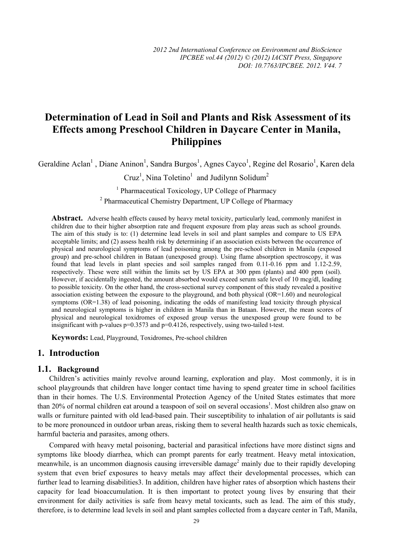# **Determination of Lead in Soil and Plants and Risk Assessment of its Effects among Preschool Children in Daycare Center in Manila, Philippines**

Geraldine Aclan<sup>1</sup>, Diane Aninon<sup>1</sup>, Sandra Burgos<sup>1</sup>, Agnes Cayco<sup>1</sup>, Regine del Rosario<sup>1</sup>, Karen dela

Cruz<sup>1</sup>, Nina Toletino<sup>1</sup> and Judilynn Solidum<sup>2</sup>

<sup>1</sup> Pharmaceutical Toxicology, UP College of Pharmacy <sup>2</sup> Pharmaceutical Chemistry Department, UP College of Pharmacy

**Abstract.** Adverse health effects caused by heavy metal toxicity, particularly lead, commonly manifest in children due to their higher absorption rate and frequent exposure from play areas such as school grounds. The aim of this study is to: (1) determine lead levels in soil and plant samples and compare to US EPA acceptable limits; and (2) assess health risk by determining if an association exists between the occurrence of physical and neurological symptoms of lead poisoning among the pre-school children in Manila (exposed group) and pre-school children in Bataan (unexposed group). Using flame absorption spectroscopy, it was found that lead levels in plant species and soil samples ranged from 0.11-0.16 ppm and 1.12-2.59, respectively. These were still within the limits set by US EPA at 300 ppm (plants) and 400 ppm (soil). However, if accidentally ingested, the amount absorbed would exceed serum safe level of 10 mcg/dl, leading to possible toxicity. On the other hand, the cross-sectional survey component of this study revealed a positive association existing between the exposure to the playground, and both physical (OR=1.60) and neurological symptoms (OR=1.38) of lead poisoning, indicating the odds of manifesting lead toxicity through physical and neurological symptoms is higher in children in Manila than in Bataan. However, the mean scores of physical and neurological toxidromes of exposed group versus the unexposed group were found to be insignificant with p-values  $p=0.3573$  and  $p=0.4126$ , respectively, using two-tailed t-test.

**Keywords:** Lead, Playground, Toxidromes, Pre-school children

#### **1. Introduction**

#### **1.1. Background**

Children's activities mainly revolve around learning, exploration and play. Most commonly, it is in school playgrounds that children have longer contact time having to spend greater time in school facilities than in their homes. The U.S. Environmental Protection Agency of the United States estimates that more than 20% of normal children eat around a teaspoon of soil on several occasions<sup>1</sup>. Most children also gnaw on walls or furniture painted with old lead-based pain. Their susceptibility to inhalation of air pollutants is said to be more pronounced in outdoor urban areas, risking them to several health hazards such as toxic chemicals, harmful bacteria and parasites, among others.

Compared with heavy metal poisoning, bacterial and parasitical infections have more distinct signs and symptoms like bloody diarrhea, which can prompt parents for early treatment. Heavy metal intoxication, meanwhile, is an uncommon diagnosis causing irreversible damage<sup>2</sup> mainly due to their rapidly developing system that even brief exposures to heavy metals may affect their developmental processes, which can further lead to learning disabilities3. In addition, children have higher rates of absorption which hastens their capacity for lead bioaccumulation. It is then important to protect young lives by ensuring that their environment for daily activities is safe from heavy metal toxicants, such as lead. The aim of this study, therefore, is to determine lead levels in soil and plant samples collected from a daycare center in Taft, Manila,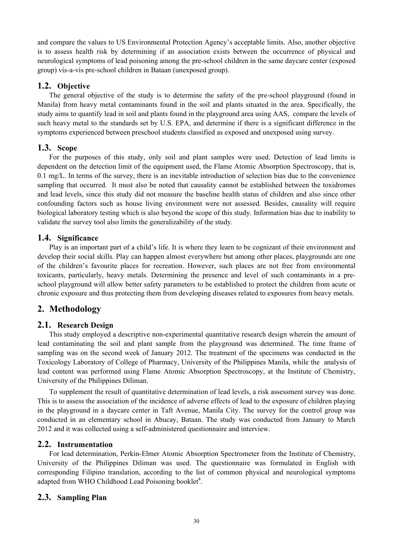and compare the values to US Environmental Protection Agency's acceptable limits. Also, another objective is to assess health risk by determining if an association exists between the occurrence of physical and neurological symptoms of lead poisoning among the pre-school children in the same daycare center (exposed group) vis-a-vis pre-school children in Bataan (unexposed group).

### **1.2. Objective**

The general objective of the study is to determine the safety of the pre-school playground (found in Manila) from heavy metal contaminants found in the soil and plants situated in the area. Specifically, the study aims to quantify lead in soil and plants found in the playground area using AAS, compare the levels of such heavy metal to the standards set by U.S. EPA, and determine if there is a significant difference in the symptoms experienced between preschool students classified as exposed and unexposed using survey.

### **1.3. Scope**

For the purposes of this study, only soil and plant samples were used. Detection of lead limits is dependent on the detection limit of the equipment used, the Flame Atomic Absorption Spectroscopy, that is, 0.1 mg/L. In terms of the survey, there is an inevitable introduction of selection bias due to the convenience sampling that occurred. It must also be noted that causality cannot be established between the toxidromes and lead levels, since this study did not measure the baseline health status of children and also since other confounding factors such as house living environment were not assessed. Besides, causality will require biological laboratory testing which is also beyond the scope of this study. Information bias due to inability to validate the survey tool also limits the generalizability of the study.

### **1.4. Significance**

Play is an important part of a child's life. It is where they learn to be cognizant of their environment and develop their social skills. Play can happen almost everywhere but among other places, playgrounds are one of the children's favourite places for recreation. However, such places are not free from environmental toxicants, particularly, heavy metals. Determining the presence and level of such contaminants in a preschool playground will allow better safety parameters to be established to protect the children from acute or chronic exposure and thus protecting them from developing diseases related to exposures from heavy metals.

## **2. Methodology**

### **2.1. Research Design**

This study employed a descriptive non-experimental quantitative research design wherein the amount of lead contaminating the soil and plant sample from the playground was determined. The time frame of sampling was on the second week of January 2012. The treatment of the specimens was conducted in the Toxicology Laboratory of College of Pharmacy, University of the Philippines Manila, while the analysis of lead content was performed using Flame Atomic Absorption Spectroscopy, at the Institute of Chemistry, University of the Philippines Diliman.

To supplement the result of quantitative determination of lead levels, a risk assessment survey was done. This is to assess the association of the incidence of adverse effects of lead to the exposure of children playing in the playground in a daycare center in Taft Avenue, Manila City. The survey for the control group was conducted in an elementary school in Abucay, Bataan. The study was conducted from January to March 2012 and it was collected using a self-administered questionnaire and interview.

### **2.2. Instrumentation**

For lead determination, Perkin-Elmer Atomic Absorption Spectrometer from the Institute of Chemistry, University of the Philippines Diliman was used. The questionnaire was formulated in English with corresponding Filipino translation, according to the list of common physical and neurological symptoms adapted from WHO Childhood Lead Poisoning booklet<sup>4</sup>.

### **2.3. Sampling Plan**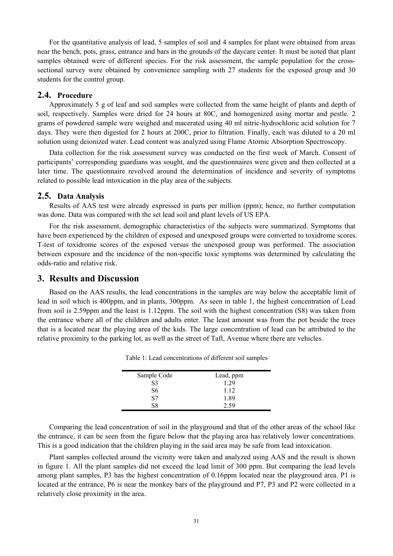For the quantitative analysis of lead, 5 samples of soil and 4 samples for plant were obtained from areas near the bench, pots, grass, entrance and bars in the grounds of the daycare center. It must be noted that plant samples obtained were of different species. For the risk assessment, the sample population for the crosssectional survey were obtained by convenience sampling with 27 students for the exposed group and 30 students for the control group.

#### **2.4. Procedure**

Approximately 5 g of leaf and soil samples were collected from the same height of plants and depth of soil, respectively. Samples were dried for 24 hours at 80C, and homogenized using mortar and pestle. 2 grams of powdered sample were weighed and macerated using 40 ml nitric-hydrochloric acid solution for 7 days. They were then digested for 2 hours at 200C, prior to filtration. Finally, each was diluted to a 20 ml solution using deionized water. Lead content was analyzed using Flame Atomic Absorption Spectroscopy.

Data collection for the risk assessment survey was conducted on the first week of March. Consent of participants' corresponding guardians was sought, and the questionnaires were given and then collected at a later time. The questionnaire revolved around the determination of incidence and severity of symptoms related to possible lead intoxication in the play area of the subjects.

#### **2.5. Data Analysis**

Results of AAS test were already expressed in parts per million (ppm); hence, no further computation was done. Data was compared with the set lead soil and plant levels of US EPA.

For the risk assessment, demographic characteristics of the subjects were summarized. Symptoms that have been experienced by the children of exposed and unexposed groups were converted to toxidrome scores. T-test of toxidrome scores of the exposed versus the unexposed group was performed. The association between exposure and the incidence of the non-specific toxic symptoms was determined by calculating the odds-ratio and relative risk.

#### **3. Results and Discussion**

Based on the AAS results, the lead concentrations in the samples are way below the acceptable limit of lead in soil which is 400ppm, and in plants, 300ppm. As seen in table 1, the highest concentration of Lead from soil is 2.59ppm and the least is 1.12ppm. The soil with the highest concentration (S8) was taken from the entrance where all of the children and adults enter. The least amount was from the pot beside the trees that is a located near the playing area of the kids. The large concentration of lead can be attributed to the relative proximity to the parking lot, as well as the street of Taft, Avenue where there are vehicles.

| Sample Code    | Lead, ppm |
|----------------|-----------|
| S3             | 1 29      |
| S <sub>6</sub> | 1.12      |
| <b>S7</b>      | 1.89      |
| 88             | 2.59      |

Table 1: Lead concentrations of different soil samples

Comparing the lead concentration of soil in the playground and that of the other areas of the school like the entrance, it can be seen from the figure below that the playing area has relatively lower concentrations. This is a good indication that the children playing in the said area may be safe from lead intoxication.

Plant samples collected around the vicinity were taken and analyzed using AAS and the result is shown in figure 1. All the plant samples did not exceed the lead limit of 300 ppm. But comparing the lead levels among plant samples, P3 has the highest concentration of 0.16ppm located near the playground area. P1 is located at the entrance, P6 is near the monkey bars of the playground and P7, P3 and P2 were collected in a relatively close proximity in the area.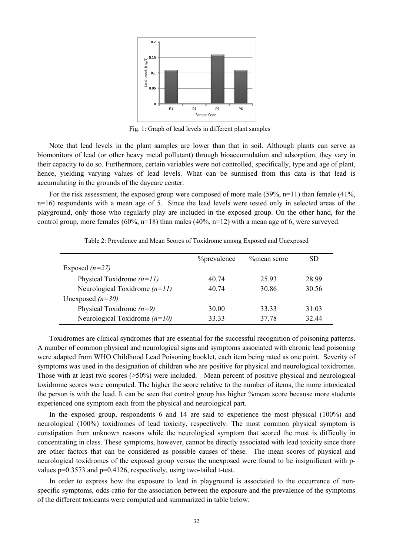

Fig. 1: Graph of lead levels in different plant samples

Note that lead levels in the plant samples are lower than that in soil. Although plants can serve as biomonitors of lead (or other heavy metal pollutant) through bioaccumulation and adsorption, they vary in their capacity to do so. Furthermore, certain variables were not controlled, specifically, type and age of plant, hence, yielding varying values of lead levels. What can be surmised from this data is that lead is accumulating in the grounds of the daycare center.

For the risk assessment, the exposed group were composed of more male  $(59\% \text{ n} = 11)$  than female  $(41\% \text{ n} = 11)$ n=16) respondents with a mean age of 5. Since the lead levels were tested only in selected areas of the playground, only those who regularly play are included in the exposed group. On the other hand, for the control group, more females (60%, n=18) than males (40%, n=12) with a mean age of 6, were surveyed.

|                                 | <i>Y</i> <sub>o</sub> prevalence | %mean score | SD.   |
|---------------------------------|----------------------------------|-------------|-------|
| Exposed $(n=27)$                |                                  |             |       |
| Physical Toxidrome $(n=11)$     | 40.74                            | 25.93       | 28.99 |
| Neurological Toxidrome $(n=11)$ | 40.74                            | 30.86       | 30.56 |
| Unexposed $(n=30)$              |                                  |             |       |
| Physical Toxidrome $(n=9)$      | 30.00                            | 33 33       | 31.03 |
| Neurological Toxidrome $(n=10)$ | 33 33                            | 37.78       | 32.44 |

Table 2: Prevalence and Mean Scores of Toxidrome among Exposed and Unexposed

Toxidromes are clinical syndromes that are essential for the successful recognition of poisoning patterns. A number of common physical and neurological signs and symptoms associated with chronic lead poisoning were adapted from WHO Childhood Lead Poisoning booklet, each item being rated as one point. Severity of symptoms was used in the designation of children who are positive for physical and neurological toxidromes. Those with at least two scores (>50%) were included. Mean percent of positive physical and neurological toxidrome scores were computed. The higher the score relative to the number of items, the more intoxicated the person is with the lead. It can be seen that control group has higher %mean score because more students experienced one symptom each from the physical and neurological part.

In the exposed group, respondents 6 and 14 are said to experience the most physical (100%) and neurological (100%) toxidromes of lead toxicity, respectively. The most common physical symptom is constipation from unknown reasons while the neurological symptom that scored the most is difficulty in concentrating in class. These symptoms, however, cannot be directly associated with lead toxicity since there are other factors that can be considered as possible causes of these. The mean scores of physical and neurological toxidromes of the exposed group versus the unexposed were found to be insignificant with pvalues p=0.3573 and p=0.4126, respectively, using two-tailed t-test.

In order to express how the exposure to lead in playground is associated to the occurrence of nonspecific symptoms, odds-ratio for the association between the exposure and the prevalence of the symptoms of the different toxicants were computed and summarized in table below.